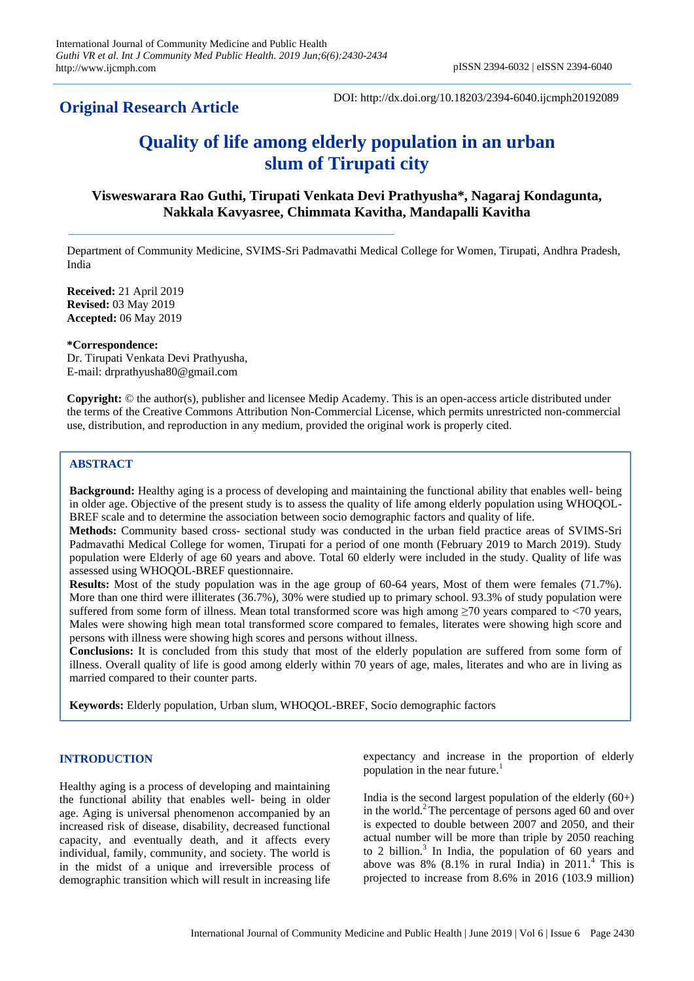# **Original Research Article**

DOI: http://dx.doi.org/10.18203/2394-6040.ijcmph20192089

# **Quality of life among elderly population in an urban slum of Tirupati city**

**Visweswarara Rao Guthi, Tirupati Venkata Devi Prathyusha\*, Nagaraj Kondagunta, Nakkala Kavyasree, Chimmata Kavitha, Mandapalli Kavitha**

Department of Community Medicine, SVIMS-Sri Padmavathi Medical College for Women, Tirupati, Andhra Pradesh, India

**Received:** 21 April 2019 **Revised:** 03 May 2019 **Accepted:** 06 May 2019

#### **\*Correspondence:**

Dr. Tirupati Venkata Devi Prathyusha, E-mail: drprathyusha80@gmail.com

**Copyright:** © the author(s), publisher and licensee Medip Academy. This is an open-access article distributed under the terms of the Creative Commons Attribution Non-Commercial License, which permits unrestricted non-commercial use, distribution, and reproduction in any medium, provided the original work is properly cited.

# **ABSTRACT**

**Background:** Healthy aging is a process of developing and maintaining the functional ability that enables well- being in older age. Objective of the present study is to assess the quality of life among elderly population using WHOQOL-BREF scale and to determine the association between socio demographic factors and quality of life.

**Methods:** Community based cross- sectional study was conducted in the urban field practice areas of SVIMS-Sri Padmavathi Medical College for women, Tirupati for a period of one month (February 2019 to March 2019). Study population were Elderly of age 60 years and above. Total 60 elderly were included in the study. Quality of life was assessed using WHOQOL-BREF questionnaire.

**Results:** Most of the study population was in the age group of 60-64 years, Most of them were females (71.7%). More than one third were illiterates (36.7%), 30% were studied up to primary school. 93.3% of study population were suffered from some form of illness. Mean total transformed score was high among ≥70 years compared to <70 years, Males were showing high mean total transformed score compared to females, literates were showing high score and persons with illness were showing high scores and persons without illness.

**Conclusions:** It is concluded from this study that most of the elderly population are suffered from some form of illness. Overall quality of life is good among elderly within 70 years of age, males, literates and who are in living as married compared to their counter parts.

**Keywords:** Elderly population, Urban slum, WHOQOL-BREF, Socio demographic factors

# **INTRODUCTION**

Healthy aging is a process of developing and maintaining the functional ability that enables well- being in older age. Aging is universal phenomenon accompanied by an increased risk of disease, disability, decreased functional capacity, and eventually death, and it affects every individual, family, community, and society. The world is in the midst of a unique and irreversible process of demographic transition which will result in increasing life expectancy and increase in the proportion of elderly population in the near future.<sup>1</sup>

India is the second largest population of the elderly  $(60+)$ in the world.<sup>2</sup> The percentage of persons aged 60 and over is expected to double between 2007 and 2050, and their actual number will be more than triple by 2050 reaching to 2 billion.<sup>3</sup> In India, the population of 60 years and above was  $8\%$  (8.1% in rural India) in 2011.<sup>4</sup> This is projected to increase from 8.6% in 2016 (103.9 million)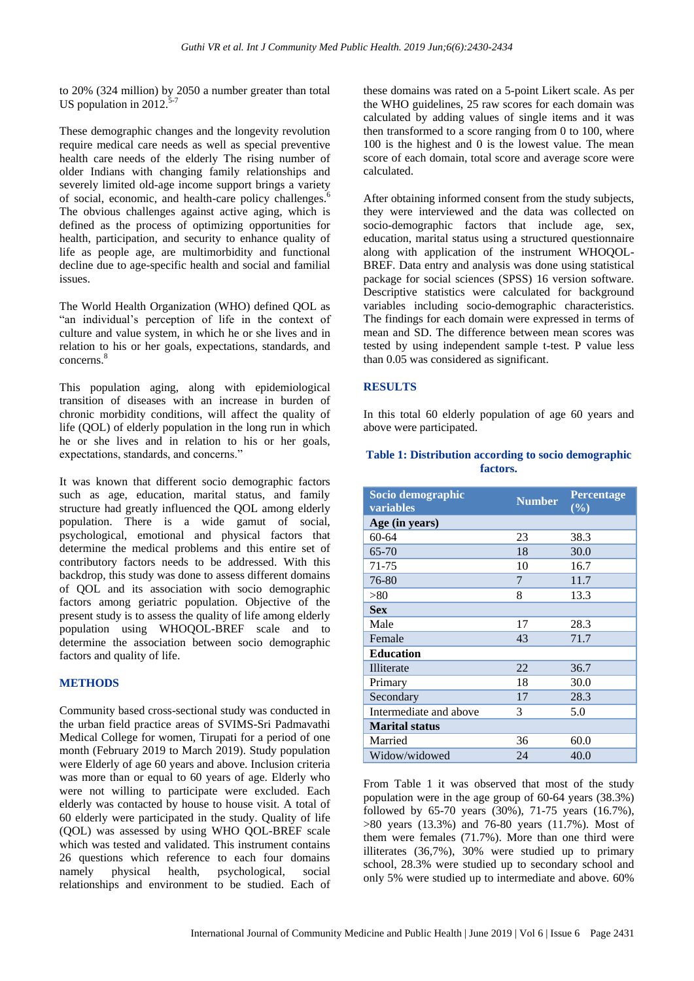to 20% (324 million) by 2050 a number greater than total US population in  $2012$ .<sup>5-7</sup>

These demographic changes and the longevity revolution require medical care needs as well as special preventive health care needs of the elderly The rising number of older Indians with changing family relationships and severely limited old-age income support brings a variety of social, economic, and health-care policy challenges.<sup>6</sup> The obvious challenges against active aging, which is defined as the process of optimizing opportunities for health, participation, and security to enhance quality of life as people age, are multimorbidity and functional decline due to age-specific health and social and familial issues.

The World Health Organization (WHO) defined QOL as "an individual's perception of life in the context of culture and value system, in which he or she lives and in relation to his or her goals, expectations, standards, and concerns.<sup>8</sup>

This population aging, along with epidemiological transition of diseases with an increase in burden of chronic morbidity conditions, will affect the quality of life (QOL) of elderly population in the long run in which he or she lives and in relation to his or her goals, expectations, standards, and concerns."

It was known that different socio demographic factors such as age, education, marital status, and family structure had greatly influenced the QOL among elderly population. There is a wide gamut of social, psychological, emotional and physical factors that determine the medical problems and this entire set of contributory factors needs to be addressed. With this backdrop, this study was done to assess different domains of QOL and its association with socio demographic factors among geriatric population. Objective of the present study is to assess the quality of life among elderly population using WHOQOL-BREF scale and to determine the association between socio demographic factors and quality of life.

# **METHODS**

Community based cross-sectional study was conducted in the urban field practice areas of SVIMS-Sri Padmavathi Medical College for women, Tirupati for a period of one month (February 2019 to March 2019). Study population were Elderly of age 60 years and above. Inclusion criteria was more than or equal to 60 years of age. Elderly who were not willing to participate were excluded. Each elderly was contacted by house to house visit. A total of 60 elderly were participated in the study. Quality of life (QOL) was assessed by using WHO QOL-BREF scale which was tested and validated. This instrument contains 26 questions which reference to each four domains namely physical health, psychological, social relationships and environment to be studied. Each of these domains was rated on a 5-point Likert scale. As per the WHO guidelines, 25 raw scores for each domain was calculated by adding values of single items and it was then transformed to a score ranging from 0 to 100, where 100 is the highest and 0 is the lowest value. The mean score of each domain, total score and average score were calculated.

After obtaining informed consent from the study subjects, they were interviewed and the data was collected on socio-demographic factors that include age, sex, education, marital status using a structured questionnaire along with application of the instrument WHOQOL-BREF. Data entry and analysis was done using statistical package for social sciences (SPSS) 16 version software. Descriptive statistics were calculated for background variables including socio-demographic characteristics. The findings for each domain were expressed in terms of mean and SD. The difference between mean scores was tested by using independent sample t-test. P value less than 0.05 was considered as significant.

# **RESULTS**

In this total 60 elderly population of age 60 years and above were participated.

# **Table 1: Distribution according to socio demographic factors.**

| Socio demographic<br>variables | <b>Number</b> | Percentage<br>$(\%)$ |
|--------------------------------|---------------|----------------------|
| Age (in years)                 |               |                      |
| 60-64                          | 23            | 38.3                 |
| 65-70                          | 18            | 30.0                 |
| 71-75                          | 10            | 16.7                 |
| 76-80                          | 7             | 11.7                 |
| > 80                           | 8             | 13.3                 |
| <b>Sex</b>                     |               |                      |
| Male                           | 17            | 28.3                 |
| Female                         | 43            | 71.7                 |
| <b>Education</b>               |               |                      |
| Illiterate                     | 22            | 36.7                 |
| Primary                        | 18            | 30.0                 |
| Secondary                      | 17            | 28.3                 |
| Intermediate and above         | 3             | 5.0                  |
| <b>Marital status</b>          |               |                      |
| Married                        | 36            | 60.0                 |
| Widow/widowed                  | 24            | 40.0                 |

From Table 1 it was observed that most of the study population were in the age group of 60-64 years (38.3%) followed by 65-70 years (30%), 71-75 years (16.7%), >80 years (13.3%) and 76-80 years (11.7%). Most of them were females (71.7%). More than one third were illiterates (36,7%), 30% were studied up to primary school, 28.3% were studied up to secondary school and only 5% were studied up to intermediate and above. 60%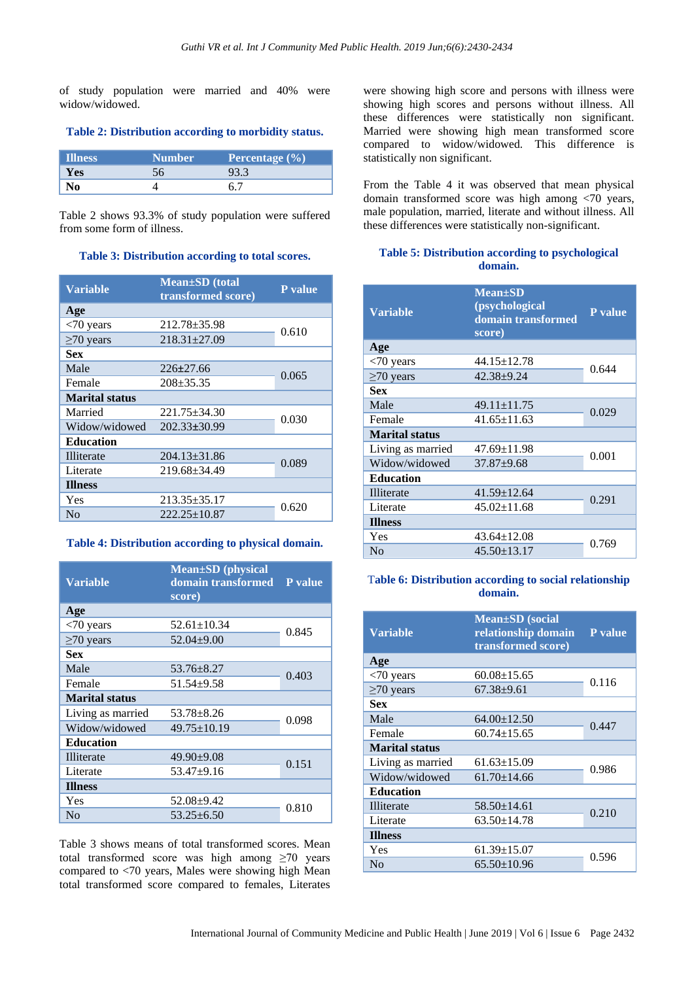of study population were married and 40% were widow/widowed.

### **Table 2: Distribution according to morbidity status.**

| <b>Illness</b> | <b>Number</b> | Percentage (%) |
|----------------|---------------|----------------|
| ′es            |               |                |
|                |               |                |

Table 2 shows 93.3% of study population were suffered from some form of illness.

#### **Table 3: Distribution according to total scores.**

| <b>Variable</b>       | Mean±SD (total<br>transformed score) | <b>P</b> value |
|-----------------------|--------------------------------------|----------------|
| Age                   |                                      |                |
| $<$ 70 years          | 212.78±35.98                         | 0.610          |
| $\geq$ 70 years       | $218.31 \pm 27.09$                   |                |
| <b>Sex</b>            |                                      |                |
| Male                  | $226 \pm 27.66$                      | 0.065          |
| Female                | $208 \pm 35.35$                      |                |
| <b>Marital status</b> |                                      |                |
| Married               | $221.75 \pm 34.30$                   | 0.030          |
| Widow/widowed         | $202.33 \pm 30.99$                   |                |
| <b>Education</b>      |                                      |                |
| Illiterate            | $204.13 \pm 31.86$                   | 0.089          |
| Literate              | $219.68 \pm 34.49$                   |                |
| <b>Illness</b>        |                                      |                |
| Yes                   | $213.35 \pm 35.17$                   | 0.620          |
| N <sub>0</sub>        | $222.25 \pm 10.87$                   |                |

# **Table 4: Distribution according to physical domain.**

| <b>Variable</b>       | <b>Mean</b> ±SD (physical<br>domain transformed<br>score) | P value |  |
|-----------------------|-----------------------------------------------------------|---------|--|
| Age                   |                                                           |         |  |
| $<$ 70 years          | $52.61 \pm 10.34$                                         | 0.845   |  |
| $\geq$ 70 years       | $52.04 \pm 9.00$                                          |         |  |
| Sex                   |                                                           |         |  |
| Male                  | $53.76 \pm 8.27$                                          |         |  |
| Female                | $51.54 \pm 9.58$                                          | 0.403   |  |
| <b>Marital status</b> |                                                           |         |  |
| Living as married     | $53.78 \pm 8.26$                                          |         |  |
| Widow/widowed         | $49.75 \pm 10.19$                                         | 0.098   |  |
| <b>Education</b>      |                                                           |         |  |
| Illiterate            | $49.90 \pm 9.08$                                          |         |  |
| Literate              | $53.47+9.16$                                              | 0.151   |  |
| <b>Illness</b>        |                                                           |         |  |
| Yes                   | 52.08±9.42                                                |         |  |
| N <sub>0</sub>        | $53.25 + 6.50$                                            | 0.810   |  |

Table 3 shows means of total transformed scores. Mean total transformed score was high among ≥70 years compared to <70 years, Males were showing high Mean total transformed score compared to females, Literates

were showing high score and persons with illness were showing high scores and persons without illness. All these differences were statistically non significant. Married were showing high mean transformed score compared to widow/widowed. This difference is statistically non significant.

From the Table 4 it was observed that mean physical domain transformed score was high among <70 years, male population, married, literate and without illness. All these differences were statistically non-significant.

# **Table 5: Distribution according to psychological domain.**

| <b>Variable</b>       | <b>Mean</b> ±SD<br>(psychological<br>domain transformed<br>score) | P value |
|-----------------------|-------------------------------------------------------------------|---------|
| Age                   |                                                                   |         |
| $<$ 70 years          | $44.15 \pm 12.78$                                                 |         |
| $\geq$ 70 years       | $42.38 + 9.24$                                                    | 0.644   |
| <b>Sex</b>            |                                                                   |         |
| Male                  | $49.11 \pm 11.75$                                                 | 0.029   |
| Female                | $41.65 \pm 11.63$                                                 |         |
| <b>Marital status</b> |                                                                   |         |
| Living as married     | $47.69 \pm 11.98$                                                 |         |
| Widow/widowed         | $37.87 \pm 9.68$                                                  | 0.001   |
| <b>Education</b>      |                                                                   |         |
| Illiterate            | $41.59 \pm 12.64$                                                 | 0.291   |
| Literate              | $45.02 \pm 11.68$                                                 |         |
| <b>Illness</b>        |                                                                   |         |
| <b>Yes</b>            | $43.64 \pm 12.08$                                                 | 0.769   |
| N <sub>0</sub>        | $45.50 \pm 13.17$                                                 |         |

# T**able 6: Distribution according to social relationship domain.**

| <b>Variable</b>       | <b>Mean±SD</b> (social<br>relationship domain<br>transformed score) | P value |
|-----------------------|---------------------------------------------------------------------|---------|
| Age                   |                                                                     |         |
| $<$ 70 years          | $60.08 \pm 15.65$                                                   | 0.116   |
| $\geq$ 70 years       | $67.38 + 9.61$                                                      |         |
| <b>Sex</b>            |                                                                     |         |
| Male                  | $64.00 \pm 12.50$                                                   | 0.447   |
| Female                | $60.74 \pm 15.65$                                                   |         |
| <b>Marital status</b> |                                                                     |         |
| Living as married     | $61.63 \pm 15.09$                                                   |         |
| Widow/widowed         | $61.70 \pm 14.66$                                                   | 0.986   |
| <b>Education</b>      |                                                                     |         |
| Illiterate            | $58.50 \pm 14.61$                                                   | 0.210   |
| Literate              | $63.50 \pm 14.78$                                                   |         |
| <b>Illness</b>        |                                                                     |         |
| Yes                   | $61.39 \pm 15.07$                                                   | 0.596   |
| No                    | $65.50 \pm 10.96$                                                   |         |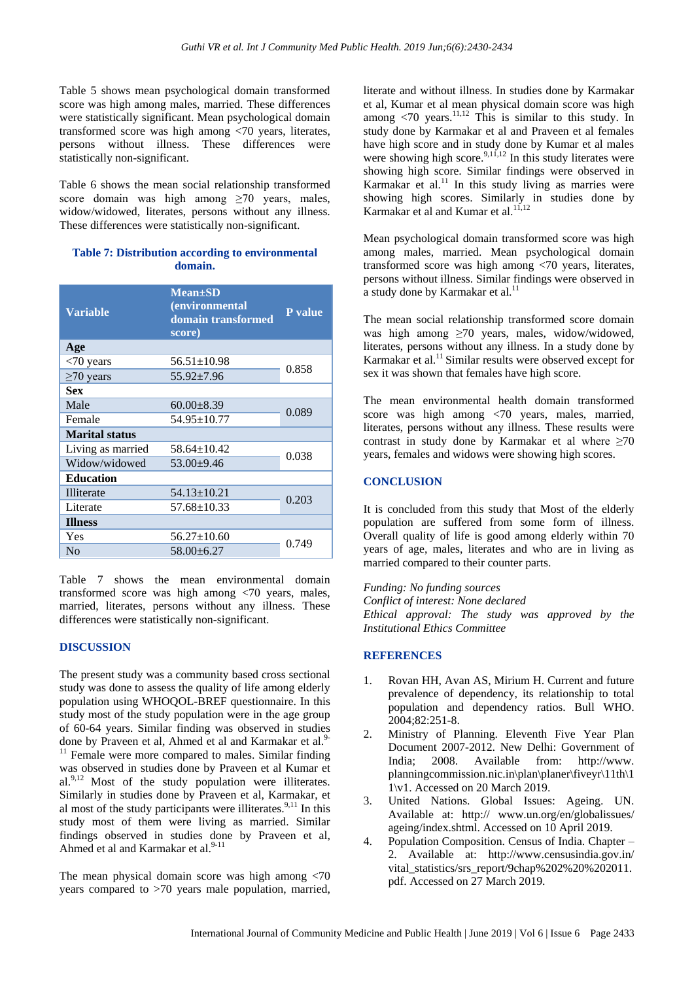Table 5 shows mean psychological domain transformed score was high among males, married. These differences were statistically significant. Mean psychological domain transformed score was high among <70 years, literates, persons without illness. These differences were statistically non-significant.

Table 6 shows the mean social relationship transformed score domain was high among  $\geq 70$  years, males, widow/widowed, literates, persons without any illness. These differences were statistically non-significant.

#### **Table 7: Distribution according to environmental domain.**

| <b>Variable</b>       | <b>Mean</b> ±SD<br><i>(environmental</i><br>domain transformed<br>score) | P value |  |
|-----------------------|--------------------------------------------------------------------------|---------|--|
| Age                   |                                                                          |         |  |
| $<$ 70 years          | $56.51 \pm 10.98$                                                        | 0.858   |  |
| $\geq$ 70 years       | $55.92 \pm 7.96$                                                         |         |  |
| <b>Sex</b>            |                                                                          |         |  |
| Male                  | $60.00 \pm 8.39$                                                         | 0.089   |  |
| Female                | $54.95 \pm 10.77$                                                        |         |  |
| <b>Marital status</b> |                                                                          |         |  |
| Living as married     | $58.64 \pm 10.42$                                                        |         |  |
| Widow/widowed         | $53.00+9.46$                                                             | 0.038   |  |
| <b>Education</b>      |                                                                          |         |  |
| Illiterate            | $54.13 \pm 10.21$                                                        |         |  |
| Literate              | $57.68 \pm 10.33$                                                        | 0.203   |  |
| <b>Illness</b>        |                                                                          |         |  |
| Yes                   | $56.27 \pm 10.60$                                                        | 0.749   |  |
| N <sub>0</sub>        | $58.00 \pm 6.27$                                                         |         |  |

Table 7 shows the mean environmental domain transformed score was high among <70 years, males, married, literates, persons without any illness. These differences were statistically non-significant.

# **DISCUSSION**

The present study was a community based cross sectional study was done to assess the quality of life among elderly population using WHOQOL-BREF questionnaire. In this study most of the study population were in the age group of 60-64 years. Similar finding was observed in studies done by Praveen et al, Ahmed et al and Karmakar et al.<sup>9-</sup> <sup>11</sup> Female were more compared to males. Similar finding was observed in studies done by Praveen et al Kumar et  $al^{9,12}$  Most of the study population were illiterates. Similarly in studies done by Praveen et al, Karmakar, et al most of the study participants were illiterates. $9,11$  In this study most of them were living as married. Similar findings observed in studies done by Praveen et al, Ahmed et al and Karmakar et al.<sup>9-11</sup>

The mean physical domain score was high among <70 years compared to >70 years male population, married, literate and without illness. In studies done by Karmakar et al, Kumar et al mean physical domain score was high among  $\langle 70 \rangle$  years.<sup>11,12</sup> This is similar to this study. In study done by Karmakar et al and Praveen et al females have high score and in study done by Kumar et al males were showing high score.<sup>9,11,12</sup> In this study literates were showing high score. Similar findings were observed in Karmakar et al. $11$  In this study living as marries were showing high scores. Similarly in studies done by Karmakar et al and Kumar et al.<sup>11,12</sup>

Mean psychological domain transformed score was high among males, married. Mean psychological domain transformed score was high among <70 years, literates, persons without illness. Similar findings were observed in a study done by Karmakar et al. $^{11}$ 

The mean social relationship transformed score domain was high among ≥70 years, males, widow/widowed, literates, persons without any illness. In a study done by Karmakar et al. <sup>11</sup> Similar results were observed except for sex it was shown that females have high score.

The mean environmental health domain transformed score was high among <70 years, males, married, literates, persons without any illness. These results were contrast in study done by Karmakar et al where  $\geq 70$ years, females and widows were showing high scores.

# **CONCLUSION**

It is concluded from this study that Most of the elderly population are suffered from some form of illness. Overall quality of life is good among elderly within 70 years of age, males, literates and who are in living as married compared to their counter parts.

*Funding: No funding sources Conflict of interest: None declared Ethical approval: The study was approved by the Institutional Ethics Committee*

#### **REFERENCES**

- Rovan HH, Avan AS, Mirium H. Current and future prevalence of dependency, its relationship to total population and dependency ratios. Bull WHO. 2004;82:251-8.
- 2. Ministry of Planning. Eleventh Five Year Plan Document 2007-2012. New Delhi: Government of India; 2008. Available from: http://www. planningcommission.nic.in\plan\planer\fiveyr\11th\1 1\v1. Accessed on 20 March 2019.
- 3. United Nations. Global Issues: Ageing. UN. Available at: http:// www.un.org/en/globalissues/ ageing/index.shtml. Accessed on 10 April 2019.
- 4. Population Composition. Census of India. Chapter 2. Available at: http://www.censusindia.gov.in/ vital\_statistics/srs\_report/9chap%202%20%202011. pdf. Accessed on 27 March 2019.